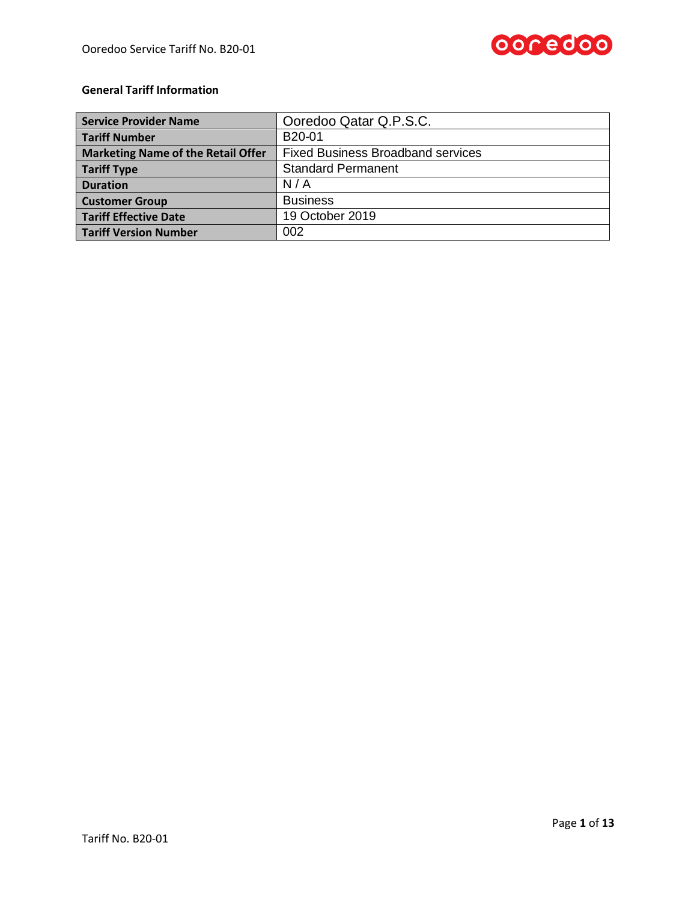

# **General Tariff Information**

| <b>Service Provider Name</b>              | Ooredoo Qatar Q.P.S.C.                   |
|-------------------------------------------|------------------------------------------|
| <b>Tariff Number</b>                      | B <sub>20</sub> -01                      |
| <b>Marketing Name of the Retail Offer</b> | <b>Fixed Business Broadband services</b> |
| <b>Tariff Type</b>                        | <b>Standard Permanent</b>                |
| <b>Duration</b>                           | N/A                                      |
| <b>Customer Group</b>                     | <b>Business</b>                          |
| <b>Tariff Effective Date</b>              | 19 October 2019                          |
| <b>Tariff Version Number</b>              | 002                                      |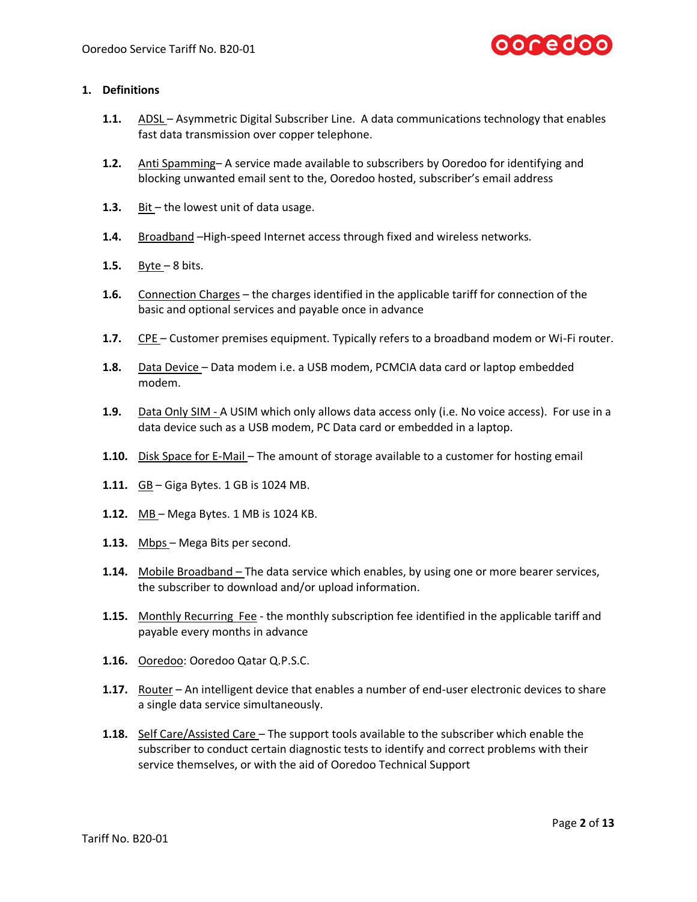

### **1. Definitions**

- **1.1.** ADSL Asymmetric Digital Subscriber Line. A data communications technology that enables fast data transmission over copper telephone.
- **1.2.** Anti Spamming– A service made available to subscribers by Ooredoo for identifying and blocking unwanted email sent to the, Ooredoo hosted, subscriber's email address
- **1.3.** Bit the lowest unit of data usage.
- **1.4.** Broadband –High-speed Internet access through fixed and wireless networks.
- **1.5.** Byte 8 bits.
- **1.6.** Connection Charges the charges identified in the applicable tariff for connection of the basic and optional services and payable once in advance
- **1.7.** CPE Customer premises equipment. Typically refers to a broadband modem or Wi-Fi router.
- **1.8.** Data Device Data modem i.e. a USB modem, PCMCIA data card or laptop embedded modem.
- **1.9.** Data Only SIM A USIM which only allows data access only (i.e. No voice access). For use in a data device such as a USB modem, PC Data card or embedded in a laptop.
- **1.10.** Disk Space for E-Mail The amount of storage available to a customer for hosting email
- **1.11.** GB Giga Bytes. 1 GB is 1024 MB.
- **1.12.** MB Mega Bytes. 1 MB is 1024 KB.
- **1.13.** Mbps Mega Bits per second.
- **1.14.** Mobile Broadband The data service which enables, by using one or more bearer services, the subscriber to download and/or upload information.
- **1.15.** Monthly Recurring Fee the monthly subscription fee identified in the applicable tariff and payable every months in advance
- **1.16.** Ooredoo: Ooredoo Qatar Q.P.S.C.
- **1.17.** Router An intelligent device that enables a number of end-user electronic devices to share a single data service simultaneously.
- **1.18.** Self Care/Assisted Care The support tools available to the subscriber which enable the subscriber to conduct certain diagnostic tests to identify and correct problems with their service themselves, or with the aid of Ooredoo Technical Support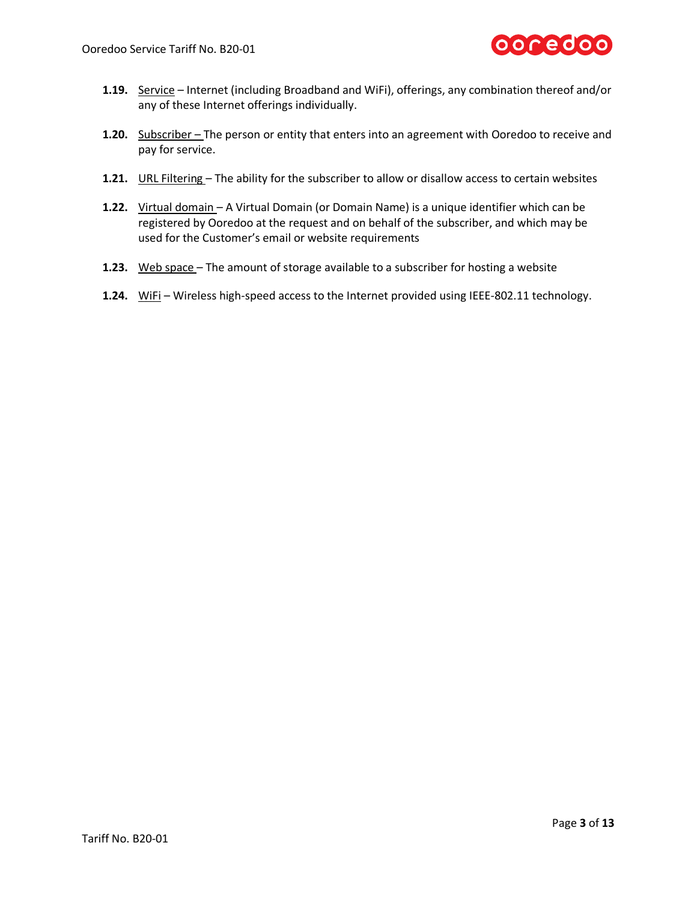

- **1.19.** Service Internet (including Broadband and WiFi), offerings, any combination thereof and/or any of these Internet offerings individually.
- **1.20.** Subscriber The person or entity that enters into an agreement with Ooredoo to receive and pay for service.
- **1.21.** URL Filtering The ability for the subscriber to allow or disallow access to certain websites
- **1.22.** Virtual domain A Virtual Domain (or Domain Name) is a unique identifier which can be registered by Ooredoo at the request and on behalf of the subscriber, and which may be used for the Customer's email or website requirements
- **1.23.** Web space The amount of storage available to a subscriber for hosting a website
- **1.24.** WiFi Wireless high-speed access to the Internet provided using IEEE-802.11 technology.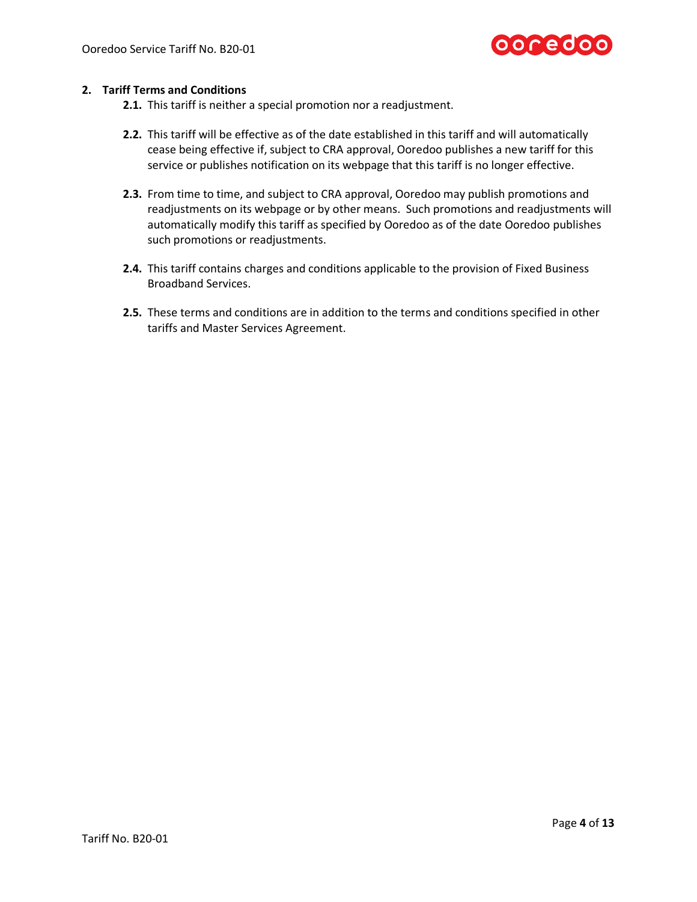

## **2. Tariff Terms and Conditions**

- **2.1.** This tariff is neither a special promotion nor a readjustment.
- **2.2.** This tariff will be effective as of the date established in this tariff and will automatically cease being effective if, subject to CRA approval, Ooredoo publishes a new tariff for this service or publishes notification on its webpage that this tariff is no longer effective.
- **2.3.** From time to time, and subject to CRA approval, Ooredoo may publish promotions and readjustments on its webpage or by other means. Such promotions and readjustments will automatically modify this tariff as specified by Ooredoo as of the date Ooredoo publishes such promotions or readjustments.
- **2.4.** This tariff contains charges and conditions applicable to the provision of Fixed Business Broadband Services.
- **2.5.** These terms and conditions are in addition to the terms and conditions specified in other tariffs and Master Services Agreement.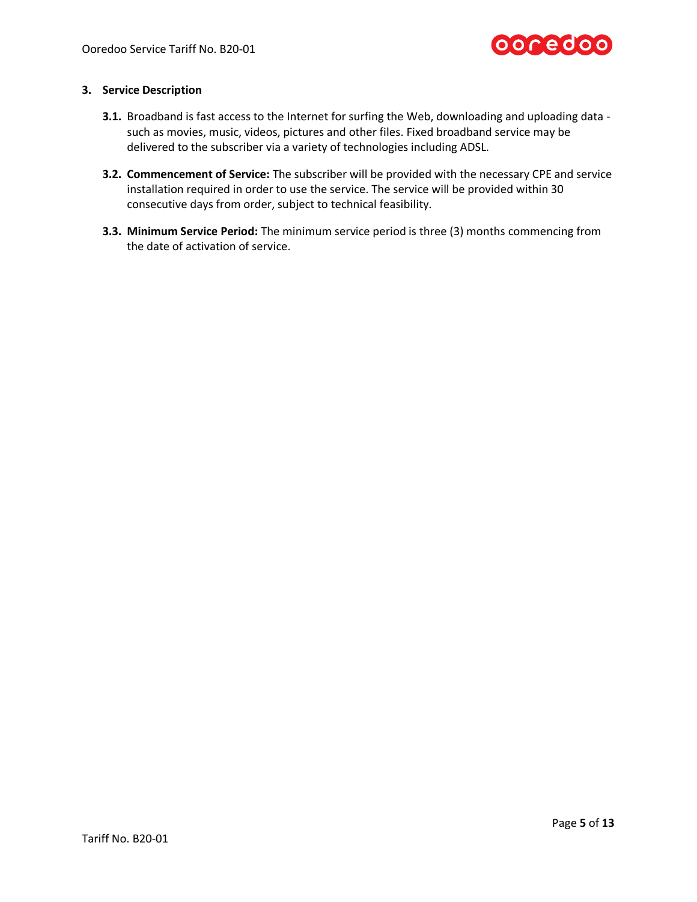

### **3. Service Description**

- **3.1.** Broadband is fast access to the Internet for surfing the Web, downloading and uploading data such as movies, music, videos, pictures and other files. Fixed broadband service may be delivered to the subscriber via a variety of technologies including ADSL.
- **3.2. Commencement of Service:** The subscriber will be provided with the necessary CPE and service installation required in order to use the service. The service will be provided within 30 consecutive days from order, subject to technical feasibility.
- **3.3. Minimum Service Period:** The minimum service period is three (3) months commencing from the date of activation of service.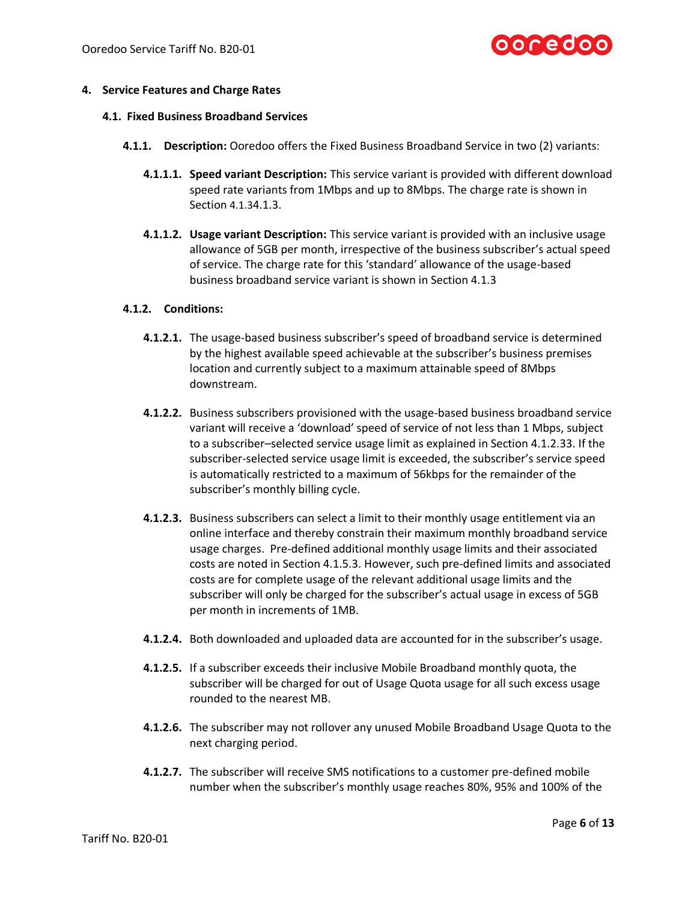

### **4. Service Features and Charge Rates**

#### **4.1. Fixed Business Broadband Services**

- **4.1.1. Description:** Ooredoo offers the Fixed Business Broadband Service in two (2) variants:
	- **4.1.1.1. Speed variant Description:** This service variant is provided with different download speed rate variants from 1Mbps and up to 8Mbps. The charge rate is shown in Section [4.1.3](#page-6-0)[4.1.3.](#page-6-0)
	- **4.1.1.2. Usage variant Description:** This service variant is provided with an inclusive usage allowance of 5GB per month, irrespective of the business subscriber's actual speed of service. The charge rate for this 'standard' allowance of the usage-based business broadband service variant is shown in Section [4.1.3](#page-6-1)

## **4.1.2. Conditions:**

- **4.1.2.1.** The usage-based business subscriber's speed of broadband service is determined by the highest available speed achievable at the subscriber's business premises location and currently subject to a maximum attainable speed of 8Mbps downstream.
- **4.1.2.2.** Business subscribers provisioned with the usage-based business broadband service variant will receive a 'download' speed of service of not less than 1 Mbps, subject to a subscriber–selected service usage limit as explained in Sectio[n 4.1.2.33](#page-5-0). If the subscriber-selected service usage limit is exceeded, the subscriber's service speed is automatically restricted to a maximum of 56kbps for the remainder of the subscriber's monthly billing cycle.
- <span id="page-5-0"></span>**4.1.2.3.** Business subscribers can select a limit to their monthly usage entitlement via an online interface and thereby constrain their maximum monthly broadband service usage charges. Pre-defined additional monthly usage limits and their associated costs are noted in Section [4.1.5.3.](#page-8-0) However, such pre-defined limits and associated costs are for complete usage of the relevant additional usage limits and the subscriber will only be charged for the subscriber's actual usage in excess of 5GB per month in increments of 1MB.
- **4.1.2.4.** Both downloaded and uploaded data are accounted for in the subscriber's usage.
- **4.1.2.5.** If a subscriber exceeds their inclusive Mobile Broadband monthly quota, the subscriber will be charged for out of Usage Quota usage for all such excess usage rounded to the nearest MB.
- **4.1.2.6.** The subscriber may not rollover any unused Mobile Broadband Usage Quota to the next charging period.
- **4.1.2.7.** The subscriber will receive SMS notifications to a customer pre-defined mobile number when the subscriber's monthly usage reaches 80%, 95% and 100% of the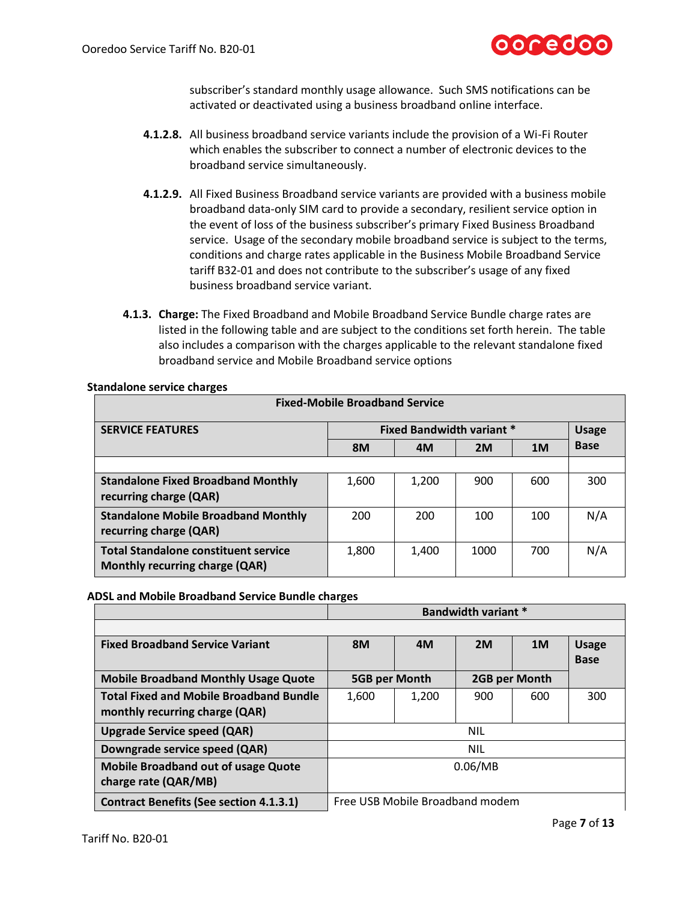

subscriber's standard monthly usage allowance. Such SMS notifications can be activated or deactivated using a business broadband online interface.

- **4.1.2.8.** All business broadband service variants include the provision of a Wi-Fi Router which enables the subscriber to connect a number of electronic devices to the broadband service simultaneously.
- **4.1.2.9.** All Fixed Business Broadband service variants are provided with a business mobile broadband data-only SIM card to provide a secondary, resilient service option in the event of loss of the business subscriber's primary Fixed Business Broadband service. Usage of the secondary mobile broadband service is subject to the terms, conditions and charge rates applicable in the Business Mobile Broadband Service tariff B32-01 and does not contribute to the subscriber's usage of any fixed business broadband service variant.
- <span id="page-6-1"></span><span id="page-6-0"></span>**4.1.3. Charge:** The Fixed Broadband and Mobile Broadband Service Bundle charge rates are listed in the following table and are subject to the conditions set forth herein. The table also includes a comparison with the charges applicable to the relevant standalone fixed broadband service and Mobile Broadband service options

| <b>Fixed-Mobile Broadband Service</b>       |                                  |       |      |                |              |
|---------------------------------------------|----------------------------------|-------|------|----------------|--------------|
| <b>SERVICE FEATURES</b>                     | <b>Fixed Bandwidth variant *</b> |       |      |                | <b>Usage</b> |
|                                             | <b>8M</b>                        | 4M    | 2M   | 1 <sub>M</sub> | <b>Base</b>  |
|                                             |                                  |       |      |                |              |
| <b>Standalone Fixed Broadband Monthly</b>   | 1,600                            | 1,200 | 900  | 600            | 300          |
| recurring charge (QAR)                      |                                  |       |      |                |              |
| <b>Standalone Mobile Broadband Monthly</b>  | 200                              | 200   | 100  | 100            | N/A          |
| recurring charge (QAR)                      |                                  |       |      |                |              |
| <b>Total Standalone constituent service</b> | 1,800                            | 1,400 | 1000 | 700            | N/A          |
| Monthly recurring charge (QAR)              |                                  |       |      |                |              |

**Standalone service charges**

### **ADSL and Mobile Broadband Service Bundle charges**

|                                                                                  | <b>Bandwidth variant *</b>      |       |               |                |                             |
|----------------------------------------------------------------------------------|---------------------------------|-------|---------------|----------------|-----------------------------|
|                                                                                  |                                 |       |               |                |                             |
| <b>Fixed Broadband Service Variant</b>                                           | <b>8M</b>                       | 4M    | 2M            | 1 <sub>M</sub> | <b>Usage</b><br><b>Base</b> |
| <b>Mobile Broadband Monthly Usage Quote</b>                                      | 5GB per Month                   |       | 2GB per Month |                |                             |
| <b>Total Fixed and Mobile Broadband Bundle</b><br>monthly recurring charge (QAR) | 1,600                           | 1,200 | 900           | 600            | 300                         |
| <b>Upgrade Service speed (QAR)</b>                                               | <b>NIL</b>                      |       |               |                |                             |
| Downgrade service speed (QAR)                                                    | <b>NIL</b>                      |       |               |                |                             |
| <b>Mobile Broadband out of usage Quote</b><br>charge rate (QAR/MB)               | 0.06/MB                         |       |               |                |                             |
| <b>Contract Benefits (See section 4.1.3.1)</b>                                   | Free USB Mobile Broadband modem |       |               |                |                             |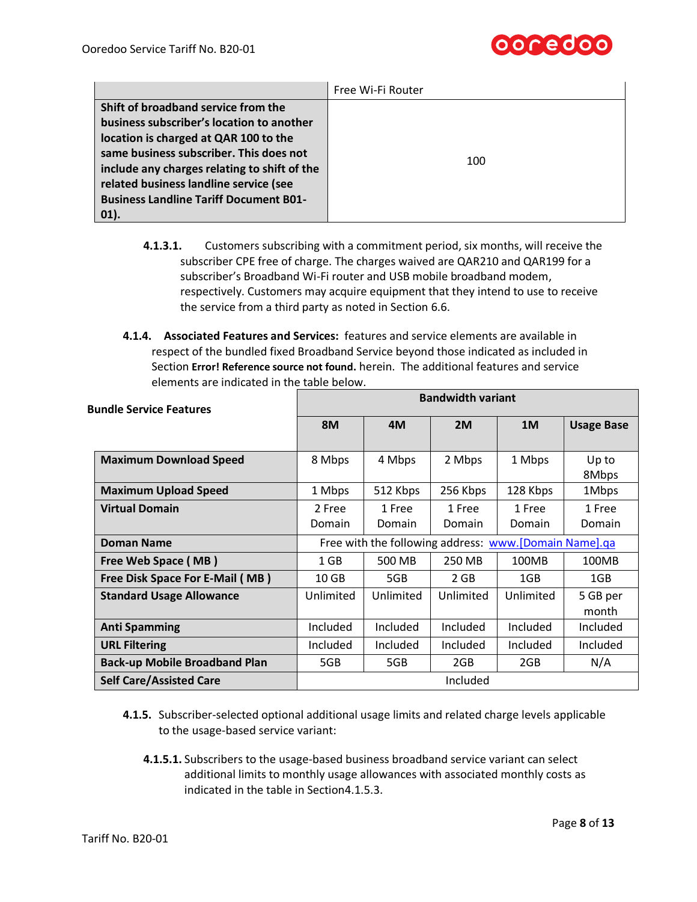

|                                                                                                                                                                                                                                                                                                                         | Free Wi-Fi Router |
|-------------------------------------------------------------------------------------------------------------------------------------------------------------------------------------------------------------------------------------------------------------------------------------------------------------------------|-------------------|
| Shift of broadband service from the<br>business subscriber's location to another<br>location is charged at QAR 100 to the<br>same business subscriber. This does not<br>include any charges relating to shift of the<br>related business landline service (see<br><b>Business Landline Tariff Document B01-</b><br>01). | 100               |

- <span id="page-7-0"></span>**4.1.3.1.** Customers subscribing with a commitment period, six months, will receive the subscriber CPE free of charge. The charges waived are QAR210 and QAR199 for a subscriber's Broadband Wi-Fi router and USB mobile broadband modem, respectively. Customers may acquire equipment that they intend to use to receive the service from a third party as noted in Section [6.6.](#page-11-0)
- **4.1.4. Associated Features and Services:** features and service elements are available in respect of the bundled fixed Broadband Service beyond those indicated as included in Section **Error! Reference source not found.** herein. The additional features and service elements are indicated in the table below.

| <b>Bundle Service Features</b>         | <b>Bandwidth variant</b>                                              |                  |                  |                         |                   |
|----------------------------------------|-----------------------------------------------------------------------|------------------|------------------|-------------------------|-------------------|
|                                        | <b>8M</b>                                                             | 4M               | 2M               | 1M                      | <b>Usage Base</b> |
| <b>Maximum Download Speed</b>          | 8 Mbps                                                                | 4 Mbps           | 2 Mbps           | 1 Mbps                  | Up to<br>8Mbps    |
| <b>Maximum Upload Speed</b>            | 1 Mbps                                                                | 512 Kbps         | 256 Kbps         | 128 Kbps                | 1Mbps             |
| <b>Virtual Domain</b>                  | 2 Free<br>Domain                                                      | 1 Free<br>Domain | 1 Free<br>Domain | 1 Free<br><b>Domain</b> | 1 Free<br>Domain  |
| <b>Doman Name</b>                      | Free with the following address: www.[Domain Name].qa                 |                  |                  |                         |                   |
| Free Web Space (MB)                    | $1$ GB<br>500 MB<br>250 MB<br>100MB<br>100MB                          |                  |                  |                         |                   |
| <b>Free Disk Space For E-Mail (MB)</b> | $10$ GB<br>5GB<br>2 GB<br>1GB<br>1GB                                  |                  |                  |                         |                   |
| <b>Standard Usage Allowance</b>        | Unlimited<br>Unlimited<br>Unlimited<br>Unlimited<br>5 GB per<br>month |                  |                  |                         |                   |
| <b>Anti Spamming</b>                   | Included                                                              | Included         | Included         | Included                | Included          |
| <b>URL Filtering</b>                   | Included                                                              | Included         | Included         | Included                | Included          |
| <b>Back-up Mobile Broadband Plan</b>   | 5GB                                                                   | 5GB              | 2GB              | 2GB                     | N/A               |
| <b>Self Care/Assisted Care</b>         | Included                                                              |                  |                  |                         |                   |

- **4.1.5.** Subscriber-selected optional additional usage limits and related charge levels applicable to the usage-based service variant:
	- **4.1.5.1.** Subscribers to the usage-based business broadband service variant can select additional limits to monthly usage allowances with associated monthly costs as indicated in the table in Sectio[n4.1.5.3.](#page-8-0)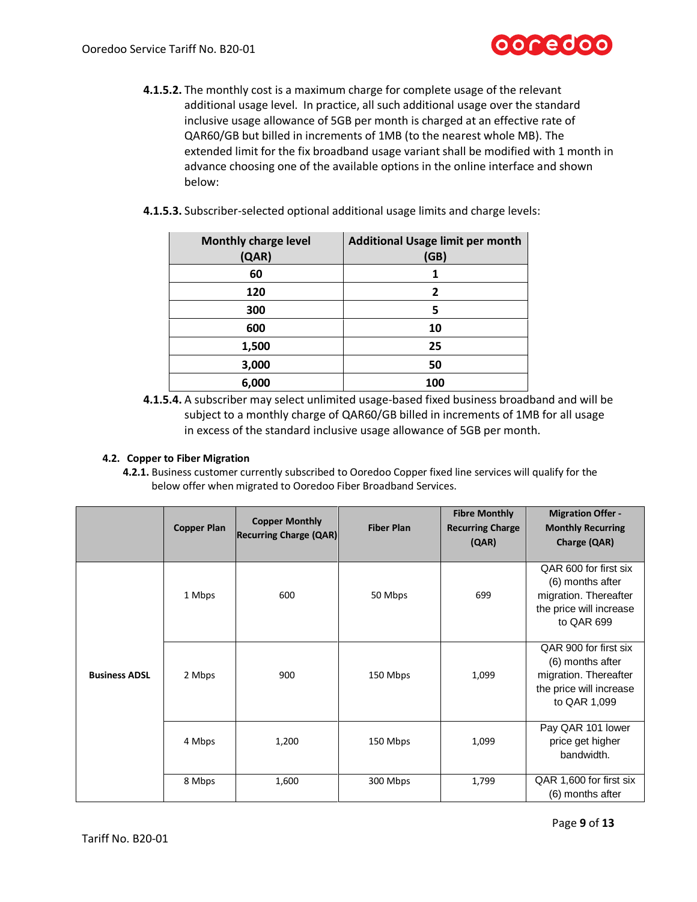

- **4.1.5.2.** The monthly cost is a maximum charge for complete usage of the relevant additional usage level. In practice, all such additional usage over the standard inclusive usage allowance of 5GB per month is charged at an effective rate of QAR60/GB but billed in increments of 1MB (to the nearest whole MB). The extended limit for the fix broadband usage variant shall be modified with 1 month in advance choosing one of the available options in the online interface and shown below:
- <span id="page-8-0"></span>**4.1.5.3.** Subscriber-selected optional additional usage limits and charge levels:

| <b>Monthly charge level</b><br>(QAR) | <b>Additional Usage limit per month</b><br>(GB) |
|--------------------------------------|-------------------------------------------------|
| 60                                   |                                                 |
| 120                                  | 2                                               |
| 300                                  | 5                                               |
| 600                                  | 10                                              |
| 1,500                                | 25                                              |
| 3,000                                | 50                                              |
| 6,000                                | 100                                             |

**4.1.5.4.** A subscriber may select unlimited usage-based fixed business broadband and will be subject to a monthly charge of QAR60/GB billed in increments of 1MB for all usage in excess of the standard inclusive usage allowance of 5GB per month.

### **4.2. Copper to Fiber Migration**

**4.2.1.** Business customer currently subscribed to Ooredoo Copper fixed line services will qualify for the below offer when migrated to Ooredoo Fiber Broadband Services.

|                      | <b>Copper Plan</b> | <b>Copper Monthly</b><br><b>Recurring Charge (QAR)</b> | <b>Fiber Plan</b> | <b>Fibre Monthly</b><br><b>Recurring Charge</b><br>(QAR) | <b>Migration Offer -</b><br><b>Monthly Recurring</b><br>Charge (QAR)                                          |
|----------------------|--------------------|--------------------------------------------------------|-------------------|----------------------------------------------------------|---------------------------------------------------------------------------------------------------------------|
|                      | 1 Mbps             | 600                                                    | 50 Mbps           | 699                                                      | QAR 600 for first six<br>(6) months after<br>migration. Thereafter<br>the price will increase<br>to QAR 699   |
| <b>Business ADSL</b> | 2 Mbps             | 900                                                    | 150 Mbps          | 1,099                                                    | QAR 900 for first six<br>(6) months after<br>migration. Thereafter<br>the price will increase<br>to QAR 1,099 |
|                      | 4 Mbps             | 1,200                                                  | 150 Mbps          | 1,099                                                    | Pay QAR 101 lower<br>price get higher<br>bandwidth.                                                           |
|                      | 8 Mbps             | 1,600                                                  | 300 Mbps          | 1,799                                                    | QAR 1,600 for first six<br>(6) months after                                                                   |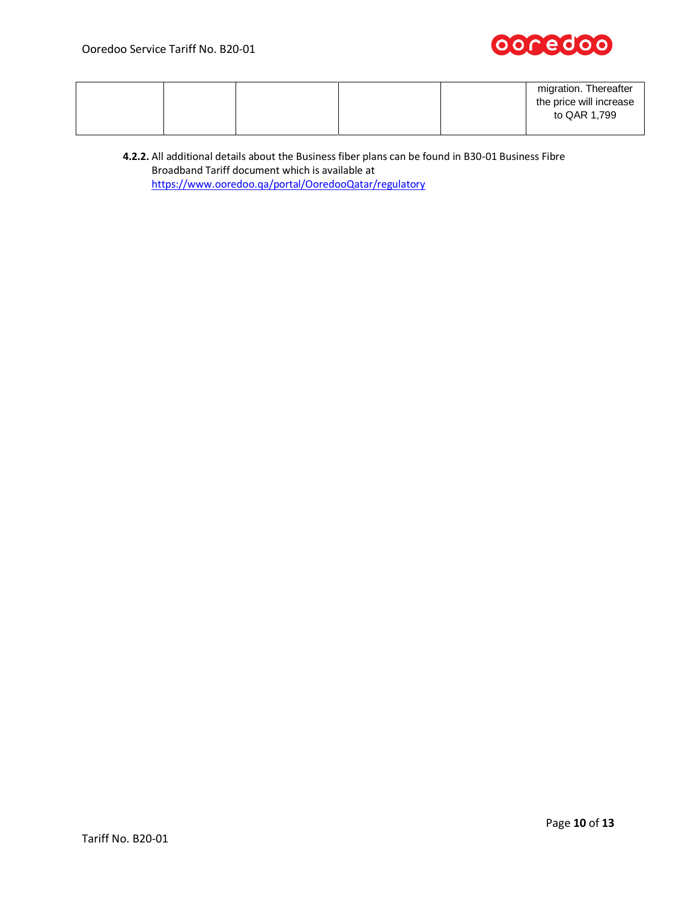

|  |  |  |  | migration. Thereafter<br>the price will increase<br>to QAR 1,799 |
|--|--|--|--|------------------------------------------------------------------|
|--|--|--|--|------------------------------------------------------------------|

**4.2.2.** All additional details about the Business fiber plans can be found in B30-01 Business Fibre Broadband Tariff document which is available at <https://www.ooredoo.qa/portal/OoredooQatar/regulatory>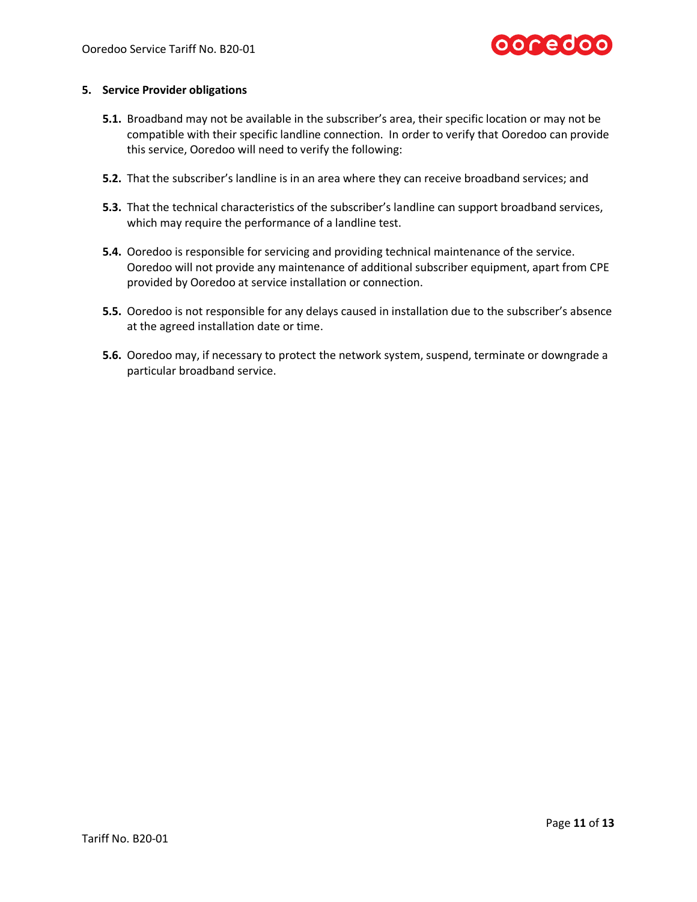

### **5. Service Provider obligations**

- **5.1.** Broadband may not be available in the subscriber's area, their specific location or may not be compatible with their specific landline connection. In order to verify that Ooredoo can provide this service, Ooredoo will need to verify the following:
- **5.2.** That the subscriber's landline is in an area where they can receive broadband services; and
- **5.3.** That the technical characteristics of the subscriber's landline can support broadband services, which may require the performance of a landline test.
- **5.4.** Ooredoo is responsible for servicing and providing technical maintenance of the service. Ooredoo will not provide any maintenance of additional subscriber equipment, apart from CPE provided by Ooredoo at service installation or connection.
- **5.5.** Ooredoo is not responsible for any delays caused in installation due to the subscriber's absence at the agreed installation date or time.
- **5.6.** Ooredoo may, if necessary to protect the network system, suspend, terminate or downgrade a particular broadband service.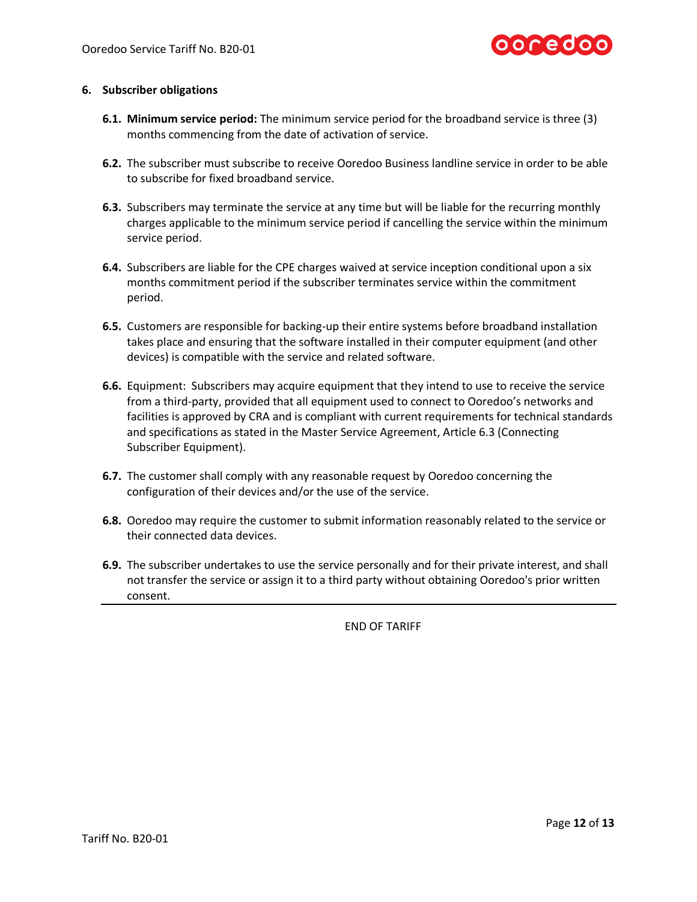

### **6. Subscriber obligations**

- **6.1. Minimum service period:** The minimum service period for the broadband service is three (3) months commencing from the date of activation of service.
- **6.2.** The subscriber must subscribe to receive Ooredoo Business landline service in order to be able to subscribe for fixed broadband service.
- **6.3.** Subscribers may terminate the service at any time but will be liable for the recurring monthly charges applicable to the minimum service period if cancelling the service within the minimum service period.
- **6.4.** Subscribers are liable for the CPE charges waived at service inception conditional upon a six months commitment period if the subscriber terminates service within the commitment period.
- **6.5.** Customers are responsible for backing-up their entire systems before broadband installation takes place and ensuring that the software installed in their computer equipment (and other devices) is compatible with the service and related software.
- <span id="page-11-0"></span>**6.6.** Equipment: Subscribers may acquire equipment that they intend to use to receive the service from a third-party, provided that all equipment used to connect to Ooredoo's networks and facilities is approved by CRA and is compliant with current requirements for technical standards and specifications as stated in the Master Service Agreement, Article 6.3 (Connecting Subscriber Equipment).
- **6.7.** The customer shall comply with any reasonable request by Ooredoo concerning the configuration of their devices and/or the use of the service.
- **6.8.** Ooredoo may require the customer to submit information reasonably related to the service or their connected data devices.
- **6.9.** The subscriber undertakes to use the service personally and for their private interest, and shall not transfer the service or assign it to a third party without obtaining Ooredoo's prior written consent.

END OF TARIFF